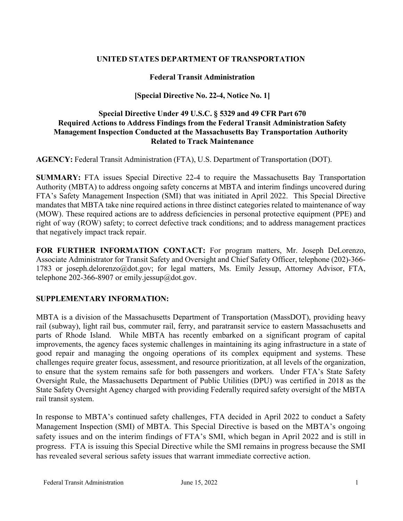## **UNITED STATES DEPARTMENT OF TRANSPORTATION**

### **Federal Transit Administration**

### **[Special Directive No. 22-4, Notice No. 1]**

### **Special Directive Under 49 U.S.C. § 5329 and 49 CFR Part 670 Required Actions to Address Findings from the Federal Transit Administration Safety Management Inspection Conducted at the Massachusetts Bay Transportation Authority Related to Track Maintenance**

**AGENCY:** Federal Transit Administration (FTA), U.S. Department of Transportation (DOT).

**SUMMARY:** FTA issues Special Directive 22-4 to require the Massachusetts Bay Transportation Authority (MBTA) to address ongoing safety concerns at MBTA and interim findings uncovered during FTA's Safety Management Inspection (SMI) that was initiated in April 2022. This Special Directive mandates that MBTA take nine required actions in three distinct categories related to maintenance of way (MOW). These required actions are to address deficiencies in personal protective equipment (PPE) and right of way (ROW) safety; to correct defective track conditions; and to address management practices that negatively impact track repair.

**FOR FURTHER INFORMATION CONTACT:** For program matters, Mr. Joseph DeLorenzo, Associate Administrator for Transit Safety and Oversight and Chief Safety Officer, telephone (202)-366- 1783 or joseph.delorenzo@dot.gov; for legal matters, Ms. Emily Jessup, Attorney Advisor, FTA, telephone 202-366-8907 or emily.jessup@dot.gov.

## **SUPPLEMENTARY INFORMATION:**

MBTA is a division of the Massachusetts Department of Transportation (MassDOT), providing heavy rail (subway), light rail bus, commuter rail, ferry, and paratransit service to eastern Massachusetts and parts of Rhode Island. While MBTA has recently embarked on a significant program of capital improvements, the agency faces systemic challenges in maintaining its aging infrastructure in a state of good repair and managing the ongoing operations of its complex equipment and systems. These challenges require greater focus, assessment, and resource prioritization, at all levels of the organization, to ensure that the system remains safe for both passengers and workers. Under FTA's State Safety Oversight Rule, the Massachusetts Department of Public Utilities (DPU) was certified in 2018 as the State Safety Oversight Agency charged with providing Federally required safety oversight of the MBTA rail transit system.

In response to MBTA's continued safety challenges, FTA decided in April 2022 to conduct a Safety Management Inspection (SMI) of MBTA. This Special Directive is based on the MBTA's ongoing safety issues and on the interim findings of FTA's SMI, which began in April 2022 and is still in progress. FTA is issuing this Special Directive while the SMI remains in progress because the SMI has revealed several serious safety issues that warrant immediate corrective action.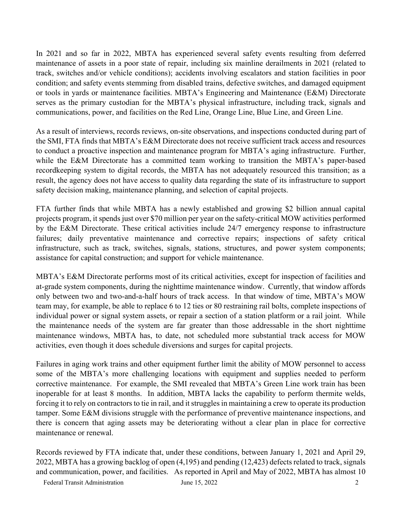In 2021 and so far in 2022, MBTA has experienced several safety events resulting from deferred maintenance of assets in a poor state of repair, including six mainline derailments in 2021 (related to track, switches and/or vehicle conditions); accidents involving escalators and station facilities in poor condition; and safety events stemming from disabled trains, defective switches, and damaged equipment or tools in yards or maintenance facilities. MBTA's Engineering and Maintenance (E&M) Directorate serves as the primary custodian for the MBTA's physical infrastructure, including track, signals and communications, power, and facilities on the Red Line, Orange Line, Blue Line, and Green Line.

As a result of interviews, records reviews, on-site observations, and inspections conducted during part of the SMI, FTA finds that MBTA's E&M Directorate does not receive sufficient track access and resources to conduct a proactive inspection and maintenance program for MBTA's aging infrastructure. Further, while the E&M Directorate has a committed team working to transition the MBTA's paper-based recordkeeping system to digital records, the MBTA has not adequately resourced this transition; as a result, the agency does not have access to quality data regarding the state of its infrastructure to support safety decision making, maintenance planning, and selection of capital projects.

FTA further finds that while MBTA has a newly established and growing \$2 billion annual capital projects program, it spends just over \$70 million per year on the safety-critical MOW activities performed by the E&M Directorate. These critical activities include 24/7 emergency response to infrastructure failures; daily preventative maintenance and corrective repairs; inspections of safety critical infrastructure, such as track, switches, signals, stations, structures, and power system components; assistance for capital construction; and support for vehicle maintenance.

MBTA's E&M Directorate performs most of its critical activities, except for inspection of facilities and at-grade system components, during the nighttime maintenance window. Currently, that window affords only between two and two-and-a-half hours of track access. In that window of time, MBTA's MOW team may, for example, be able to replace 6 to 12 ties or 80 restraining rail bolts, complete inspections of individual power or signal system assets, or repair a section of a station platform or a rail joint. While the maintenance needs of the system are far greater than those addressable in the short nighttime maintenance windows, MBTA has, to date, not scheduled more substantial track access for MOW activities, even though it does schedule diversions and surges for capital projects.

Failures in aging work trains and other equipment further limit the ability of MOW personnel to access some of the MBTA's more challenging locations with equipment and supplies needed to perform corrective maintenance. For example, the SMI revealed that MBTA's Green Line work train has been inoperable for at least 8 months. In addition, MBTA lacks the capability to perform thermite welds, forcing it to rely on contractors to tie in rail, and it struggles in maintaining a crew to operate its production tamper. Some E&M divisions struggle with the performance of preventive maintenance inspections, and there is concern that aging assets may be deteriorating without a clear plan in place for corrective maintenance or renewal.

Records reviewed by FTA indicate that, under these conditions, between January 1, 2021 and April 29, 2022, MBTA has a growing backlog of open (4,195) and pending (12,423) defects related to track, signals and communication, power, and facilities. As reported in April and May of 2022, MBTA has almost 10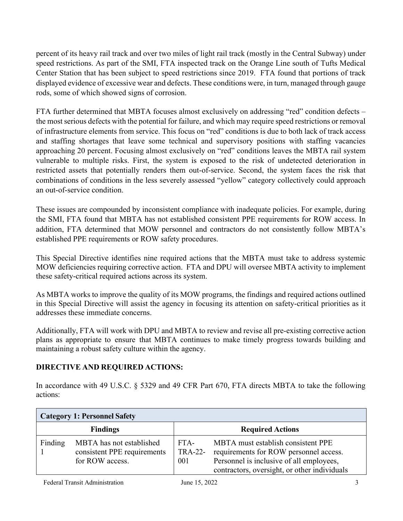percent of its heavy rail track and over two miles of light rail track (mostly in the Central Subway) under speed restrictions. As part of the SMI, FTA inspected track on the Orange Line south of Tufts Medical Center Station that has been subject to speed restrictions since 2019. FTA found that portions of track displayed evidence of excessive wear and defects. These conditions were, in turn, managed through gauge rods, some of which showed signs of corrosion.

FTA further determined that MBTA focuses almost exclusively on addressing "red" condition defects – the most serious defects with the potential for failure, and which may require speed restrictions or removal of infrastructure elements from service. This focus on "red" conditions is due to both lack of track access and staffing shortages that leave some technical and supervisory positions with staffing vacancies approaching 20 percent. Focusing almost exclusively on "red" conditions leaves the MBTA rail system vulnerable to multiple risks. First, the system is exposed to the risk of undetected deterioration in restricted assets that potentially renders them out-of-service. Second, the system faces the risk that combinations of conditions in the less severely assessed "yellow" category collectively could approach an out-of-service condition.

These issues are compounded by inconsistent compliance with inadequate policies. For example, during the SMI, FTA found that MBTA has not established consistent PPE requirements for ROW access. In addition, FTA determined that MOW personnel and contractors do not consistently follow MBTA's established PPE requirements or ROW safety procedures.

This Special Directive identifies nine required actions that the MBTA must take to address systemic MOW deficiencies requiring corrective action. FTA and DPU will oversee MBTA activity to implement these safety-critical required actions across its system.

As MBTA works to improve the quality of its MOW programs, the findings and required actions outlined in this Special Directive will assist the agency in focusing its attention on safety-critical priorities as it addresses these immediate concerns.

Additionally, FTA will work with DPU and MBTA to review and revise all pre-existing corrective action plans as appropriate to ensure that MBTA continues to make timely progress towards building and maintaining a robust safety culture within the agency.

# **DIRECTIVE AND REQUIRED ACTIONS:**

In accordance with 49 U.S.C. § 5329 and 49 CFR Part 670, FTA directs MBTA to take the following actions:

| <b>Category 1: Personnel Safety</b> |                                                                            |                         |                                                                                                                                                                          |  |  |  |
|-------------------------------------|----------------------------------------------------------------------------|-------------------------|--------------------------------------------------------------------------------------------------------------------------------------------------------------------------|--|--|--|
| <b>Findings</b>                     |                                                                            | <b>Required Actions</b> |                                                                                                                                                                          |  |  |  |
| Finding                             | MBTA has not established<br>consistent PPE requirements<br>for ROW access. | FTA-<br>TRA-22-<br>001  | MBTA must establish consistent PPE<br>requirements for ROW personnel access.<br>Personnel is inclusive of all employees,<br>contractors, oversight, or other individuals |  |  |  |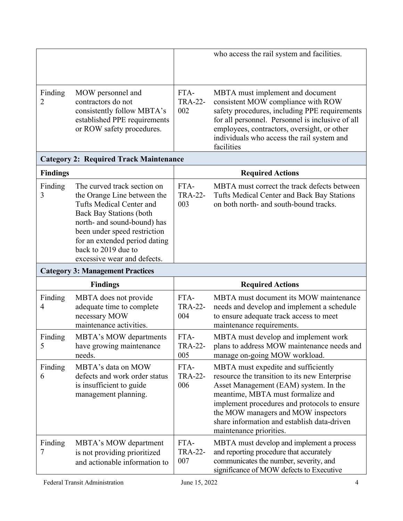|                                               |                                                                                                                                                                                                                                                                                |                               | who access the rail system and facilities.                                                                                                                                                                                                                                                                                          |  |  |  |  |
|-----------------------------------------------|--------------------------------------------------------------------------------------------------------------------------------------------------------------------------------------------------------------------------------------------------------------------------------|-------------------------------|-------------------------------------------------------------------------------------------------------------------------------------------------------------------------------------------------------------------------------------------------------------------------------------------------------------------------------------|--|--|--|--|
| Finding<br>$\overline{2}$                     | MOW personnel and<br>contractors do not<br>consistently follow MBTA's<br>established PPE requirements<br>or ROW safety procedures.                                                                                                                                             | FTA-<br><b>TRA-22-</b><br>002 | MBTA must implement and document<br>consistent MOW compliance with ROW<br>safety procedures, including PPE requirements<br>for all personnel. Personnel is inclusive of all<br>employees, contractors, oversight, or other<br>individuals who access the rail system and<br>facilities                                              |  |  |  |  |
| <b>Category 2: Required Track Maintenance</b> |                                                                                                                                                                                                                                                                                |                               |                                                                                                                                                                                                                                                                                                                                     |  |  |  |  |
| <b>Findings</b>                               |                                                                                                                                                                                                                                                                                | <b>Required Actions</b>       |                                                                                                                                                                                                                                                                                                                                     |  |  |  |  |
| Finding<br>3                                  | The curved track section on<br>the Orange Line between the<br>Tufts Medical Center and<br><b>Back Bay Stations (both</b><br>north- and sound-bound) has<br>been under speed restriction<br>for an extended period dating<br>back to 2019 due to<br>excessive wear and defects. | FTA-<br><b>TRA-22-</b><br>003 | MBTA must correct the track defects between<br>Tufts Medical Center and Back Bay Stations<br>on both north- and south-bound tracks.                                                                                                                                                                                                 |  |  |  |  |
|                                               | <b>Category 3: Management Practices</b>                                                                                                                                                                                                                                        |                               |                                                                                                                                                                                                                                                                                                                                     |  |  |  |  |
| <b>Findings</b>                               |                                                                                                                                                                                                                                                                                | <b>Required Actions</b>       |                                                                                                                                                                                                                                                                                                                                     |  |  |  |  |
| Finding<br>$\overline{4}$                     | MBTA does not provide<br>adequate time to complete<br>necessary MOW<br>maintenance activities.                                                                                                                                                                                 | FTA-<br><b>TRA-22-</b><br>004 | MBTA must document its MOW maintenance<br>needs and develop and implement a schedule<br>to ensure adequate track access to meet<br>maintenance requirements.                                                                                                                                                                        |  |  |  |  |
| Finding<br>5                                  | <b>MBTA's MOW departments</b><br>have growing maintenance<br>needs.                                                                                                                                                                                                            | FTA-<br><b>TRA-22-</b><br>005 | MBTA must develop and implement work<br>plans to address MOW maintenance needs and<br>manage on-going MOW workload.                                                                                                                                                                                                                 |  |  |  |  |
| Finding<br>6                                  | MBTA's data on MOW<br>defects and work order status<br>is insufficient to guide<br>management planning.                                                                                                                                                                        | FTA-<br><b>TRA-22-</b><br>006 | MBTA must expedite and sufficiently<br>resource the transition to its new Enterprise<br>Asset Management (EAM) system. In the<br>meantime, MBTA must formalize and<br>implement procedures and protocols to ensure<br>the MOW managers and MOW inspectors<br>share information and establish data-driven<br>maintenance priorities. |  |  |  |  |
| Finding<br>7                                  | MBTA's MOW department<br>is not providing prioritized<br>and actionable information to                                                                                                                                                                                         | FTA-<br><b>TRA-22-</b><br>007 | MBTA must develop and implement a process<br>and reporting procedure that accurately<br>communicates the number, severity, and<br>significance of MOW defects to Executive                                                                                                                                                          |  |  |  |  |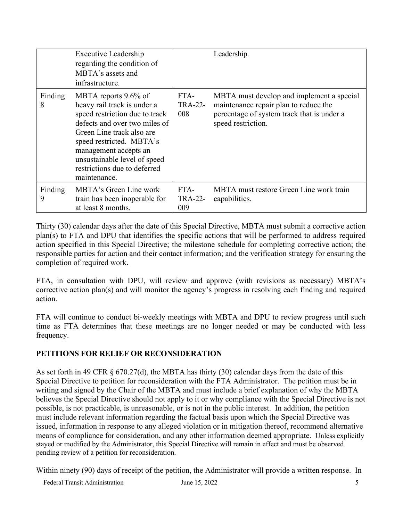|              | Executive Leadership<br>regarding the condition of<br>MBTA's assets and<br>infrastructure.                                                                                                                                                                                               |                               | Leadership.                                                                                                                                            |
|--------------|------------------------------------------------------------------------------------------------------------------------------------------------------------------------------------------------------------------------------------------------------------------------------------------|-------------------------------|--------------------------------------------------------------------------------------------------------------------------------------------------------|
| Finding<br>8 | MBTA reports 9.6% of<br>heavy rail track is under a<br>speed restriction due to track<br>defects and over two miles of<br>Green Line track also are<br>speed restricted. MBTA's<br>management accepts an<br>unsustainable level of speed<br>restrictions due to deferred<br>maintenance. | FTA-<br><b>TRA-22-</b><br>008 | MBTA must develop and implement a special<br>maintenance repair plan to reduce the<br>percentage of system track that is under a<br>speed restriction. |
| Finding<br>9 | MBTA's Green Line work<br>train has been inoperable for<br>at least 8 months.                                                                                                                                                                                                            | FTA-<br><b>TRA-22-</b><br>009 | MBTA must restore Green Line work train<br>capabilities.                                                                                               |

Thirty (30) calendar days after the date of this Special Directive, MBTA must submit a corrective action plan(s) to FTA and DPU that identifies the specific actions that will be performed to address required action specified in this Special Directive; the milestone schedule for completing corrective action; the responsible parties for action and their contact information; and the verification strategy for ensuring the completion of required work.

FTA, in consultation with DPU, will review and approve (with revisions as necessary) MBTA's corrective action plan(s) and will monitor the agency's progress in resolving each finding and required action.

FTA will continue to conduct bi-weekly meetings with MBTA and DPU to review progress until such time as FTA determines that these meetings are no longer needed or may be conducted with less frequency.

# **PETITIONS FOR RELIEF OR RECONSIDERATION**

As set forth in 49 CFR  $\S$  670.27(d), the MBTA has thirty (30) calendar days from the date of this Special Directive to petition for reconsideration with the FTA Administrator. The petition must be in writing and signed by the Chair of the MBTA and must include a brief explanation of why the MBTA believes the Special Directive should not apply to it or why compliance with the Special Directive is not possible, is not practicable, is unreasonable, or is not in the public interest. In addition, the petition must include relevant information regarding the factual basis upon which the Special Directive was issued, information in response to any alleged violation or in mitigation thereof, recommend alternative means of compliance for consideration, and any other information deemed appropriate. Unless explicitly stayed or modified by the Administrator, this Special Directive will remain in effect and must be observed pending review of a petition for reconsideration.

Within ninety (90) days of receipt of the petition, the Administrator will provide a written response. In